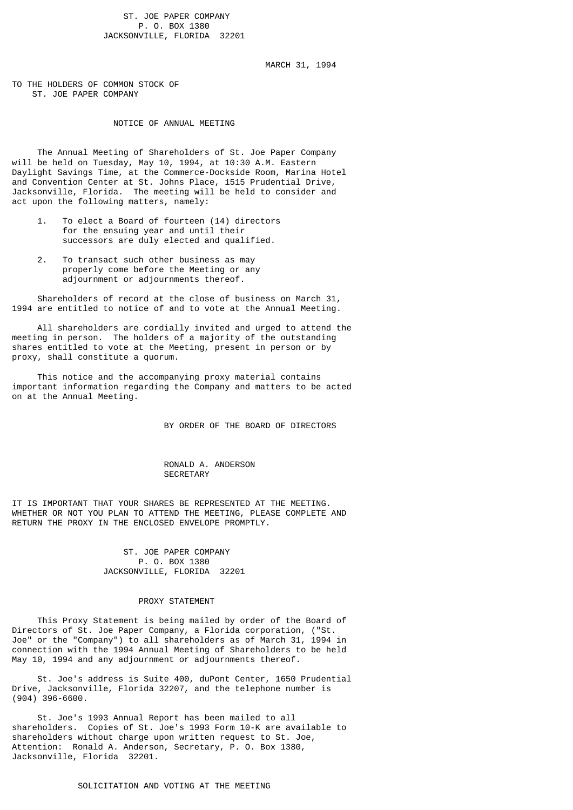ST. JOE PAPER COMPANY P. O. BOX 1380 JACKSONVILLE, FLORIDA 32201

MARCH 31, 1994

TO THE HOLDERS OF COMMON STOCK OF ST. JOE PAPER COMPANY

# NOTICE OF ANNUAL MEETING

 The Annual Meeting of Shareholders of St. Joe Paper Company will be held on Tuesday, May 10, 1994, at 10:30 A.M. Eastern Daylight Savings Time, at the Commerce-Dockside Room, Marina Hotel and Convention Center at St. Johns Place, 1515 Prudential Drive, Jacksonville, Florida. The meeting will be held to consider and act upon the following matters, namely:

- 1. To elect a Board of fourteen (14) directors for the ensuing year and until their successors are duly elected and qualified.
- 2. To transact such other business as may properly come before the Meeting or any adjournment or adjournments thereof.

 Shareholders of record at the close of business on March 31, 1994 are entitled to notice of and to vote at the Annual Meeting.

 All shareholders are cordially invited and urged to attend the meeting in person. The holders of a majority of the outstanding shares entitled to vote at the Meeting, present in person or by proxy, shall constitute a quorum.

 This notice and the accompanying proxy material contains important information regarding the Company and matters to be acted on at the Annual Meeting.

BY ORDER OF THE BOARD OF DIRECTORS

### RONALD A. ANDERSON **SECRETARY**

IT IS IMPORTANT THAT YOUR SHARES BE REPRESENTED AT THE MEETING. WHETHER OR NOT YOU PLAN TO ATTEND THE MEETING, PLEASE COMPLETE AND RETURN THE PROXY IN THE ENCLOSED ENVELOPE PROMPTLY.

### ST. JOE PAPER COMPANY P. O. BOX 1380 JACKSONVILLE, FLORIDA 32201

#### PROXY STATEMENT

 This Proxy Statement is being mailed by order of the Board of Directors of St. Joe Paper Company, a Florida corporation, ("St. Joe" or the "Company") to all shareholders as of March 31, 1994 in connection with the 1994 Annual Meeting of Shareholders to be held May 10, 1994 and any adjournment or adjournments thereof.

 St. Joe's address is Suite 400, duPont Center, 1650 Prudential Drive, Jacksonville, Florida 32207, and the telephone number is (904) 396-6600.

 St. Joe's 1993 Annual Report has been mailed to all shareholders. Copies of St. Joe's 1993 Form 10-K are available to shareholders without charge upon written request to St. Joe, Attention: Ronald A. Anderson, Secretary, P. O. Box 1380, Jacksonville, Florida 32201.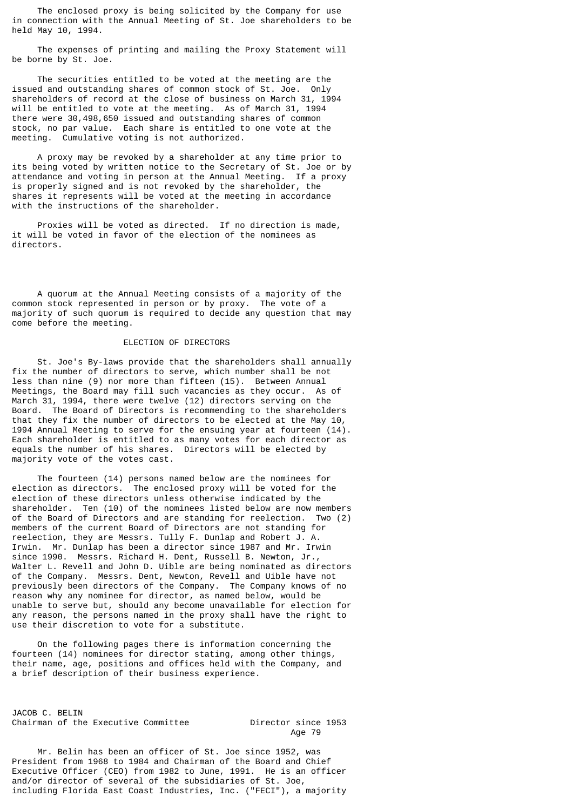The enclosed proxy is being solicited by the Company for use in connection with the Annual Meeting of St. Joe shareholders to be held May 10, 1994.

 The expenses of printing and mailing the Proxy Statement will be borne by St. Joe.

 The securities entitled to be voted at the meeting are the issued and outstanding shares of common stock of St. Joe. Only shareholders of record at the close of business on March 31, 1994 will be entitled to vote at the meeting. As of March 31, 1994 there were 30,498,650 issued and outstanding shares of common stock, no par value. Each share is entitled to one vote at the meeting. Cumulative voting is not authorized.

 A proxy may be revoked by a shareholder at any time prior to its being voted by written notice to the Secretary of St. Joe or by attendance and voting in person at the Annual Meeting. If a proxy is properly signed and is not revoked by the shareholder, the shares it represents will be voted at the meeting in accordance with the instructions of the shareholder.

 Proxies will be voted as directed. If no direction is made, it will be voted in favor of the election of the nominees as directors.

 A quorum at the Annual Meeting consists of a majority of the common stock represented in person or by proxy. The vote of a majority of such quorum is required to decide any question that may come before the meeting.

## ELECTION OF DIRECTORS

 St. Joe's By-laws provide that the shareholders shall annually fix the number of directors to serve, which number shall be not less than nine (9) nor more than fifteen (15). Between Annual Meetings, the Board may fill such vacancies as they occur. As of March 31, 1994, there were twelve (12) directors serving on the Board. The Board of Directors is recommending to the shareholders that they fix the number of directors to be elected at the May 10, 1994 Annual Meeting to serve for the ensuing year at fourteen (14). Each shareholder is entitled to as many votes for each director as equals the number of his shares. Directors will be elected by majority vote of the votes cast.

 The fourteen (14) persons named below are the nominees for election as directors. The enclosed proxy will be voted for the election of these directors unless otherwise indicated by the shareholder. Ten (10) of the nominees listed below are now members of the Board of Directors and are standing for reelection. Two (2) members of the current Board of Directors are not standing for reelection, they are Messrs. Tully F. Dunlap and Robert J. A. Irwin. Mr. Dunlap has been a director since 1987 and Mr. Irwin since 1990. Messrs. Richard H. Dent, Russell B. Newton, Jr., Walter L. Revell and John D. Uible are being nominated as directors of the Company. Messrs. Dent, Newton, Revell and Uible have not previously been directors of the Company. The Company knows of no reason why any nominee for director, as named below, would be unable to serve but, should any become unavailable for election for any reason, the persons named in the proxy shall have the right to use their discretion to vote for a substitute.

 On the following pages there is information concerning the fourteen (14) nominees for director stating, among other things, their name, age, positions and offices held with the Company, and a brief description of their business experience.

JACOB C. BELIN Chairman of the Executive Committee **Director** since 1953

Age 79

 Mr. Belin has been an officer of St. Joe since 1952, was President from 1968 to 1984 and Chairman of the Board and Chief Executive Officer (CEO) from 1982 to June, 1991. He is an officer and/or director of several of the subsidiaries of St. Joe, including Florida East Coast Industries, Inc. ("FECI"), a majority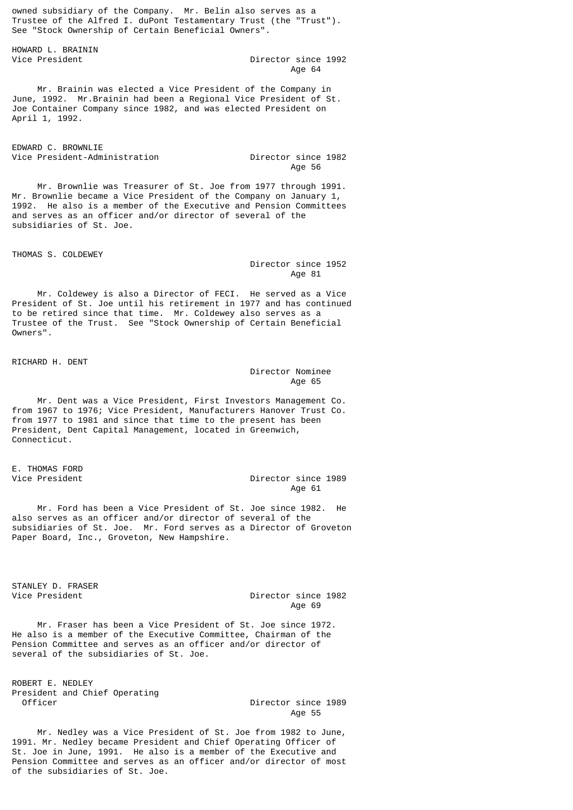owned subsidiary of the Company. Mr. Belin also serves as a Trustee of the Alfred I. duPont Testamentary Trust (the "Trust"). See "Stock Ownership of Certain Beneficial Owners".

HOWARD L. BRAININ

Director since 1992 Age 64

 Mr. Brainin was elected a Vice President of the Company in June, 1992. Mr.Brainin had been a Regional Vice President of St. Joe Container Company since 1982, and was elected President on April 1, 1992.

EDWARD C. BROWNLIE

Vice President-Administration Director since 1982<br>Age 56 Age 56

 Mr. Brownlie was Treasurer of St. Joe from 1977 through 1991. Mr. Brownlie became a Vice President of the Company on January 1, 1992. He also is a member of the Executive and Pension Committees and serves as an officer and/or director of several of the subsidiaries of St. Joe.

THOMAS S. COLDEWEY

 Director since 1952 Age 81

 Mr. Coldewey is also a Director of FECI. He served as a Vice President of St. Joe until his retirement in 1977 and has continued to be retired since that time. Mr. Coldewey also serves as a Trustee of the Trust. See "Stock Ownership of Certain Beneficial Owners".

RICHARD H. DENT

# Director Nominee Age 65 and the contract of the contract of the contract of the contract of the contract of the contract of the

 Mr. Dent was a Vice President, First Investors Management Co. from 1967 to 1976; Vice President, Manufacturers Hanover Trust Co. from 1977 to 1981 and since that time to the present has been President, Dent Capital Management, located in Greenwich, Connecticut.

E. THOMAS FORD

# Director since 1989 Age 61 **Age 61**

 Mr. Ford has been a Vice President of St. Joe since 1982. He also serves as an officer and/or director of several of the subsidiaries of St. Joe. Mr. Ford serves as a Director of Groveton Paper Board, Inc., Groveton, New Hampshire.

STANLEY D. FRASER

Vice President Director since 1982<br>Age 69 Age 69

 Mr. Fraser has been a Vice President of St. Joe since 1972. He also is a member of the Executive Committee, Chairman of the Pension Committee and serves as an officer and/or director of several of the subsidiaries of St. Joe.

ROBERT E. NEDLEY President and Chief Operating

Director since 1989 Age 55

 Mr. Nedley was a Vice President of St. Joe from 1982 to June, 1991. Mr. Nedley became President and Chief Operating Officer of St. Joe in June, 1991. He also is a member of the Executive and Pension Committee and serves as an officer and/or director of most of the subsidiaries of St. Joe.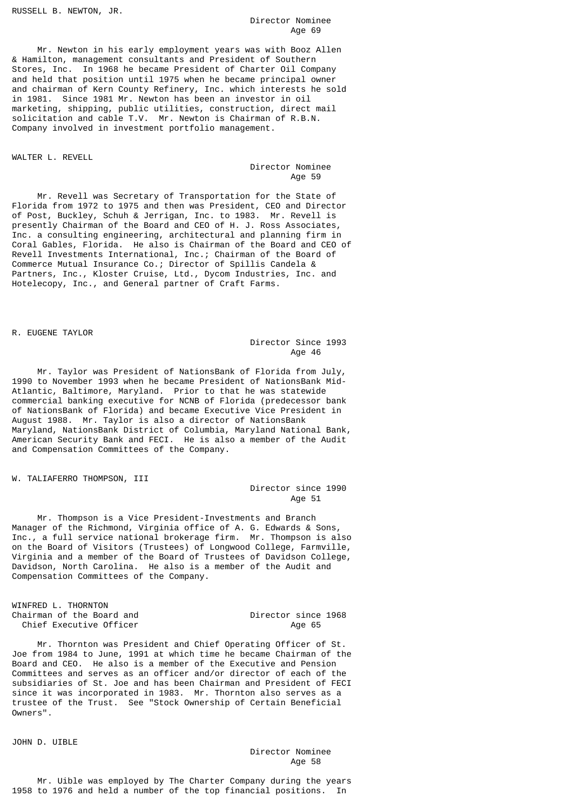RUSSELL B. NEWTON, JR.

## Director Nominee<br>Age 69 Age 69 April 2012 12:30 April 2012 12:30 April 2013 12:30 April 2013 12:30 April 2013 12:30 April 2013 12:30 April 2013 12:30 April 2013 12:30 April 2013 12:30 April 2013 12:30 April 2013 12:30 April 2013 12:30 April 2013

 Mr. Newton in his early employment years was with Booz Allen & Hamilton, management consultants and President of Southern Stores, Inc. In 1968 he became President of Charter Oil Company and held that position until 1975 when he became principal owner and chairman of Kern County Refinery, Inc. which interests he sold in 1981. Since 1981 Mr. Newton has been an investor in oil marketing, shipping, public utilities, construction, direct mail solicitation and cable T.V. Mr. Newton is Chairman of R.B.N. Company involved in investment portfolio management.

### WALTER L. REVELL

 Director Nominee Age 59

 Mr. Revell was Secretary of Transportation for the State of Florida from 1972 to 1975 and then was President, CEO and Director of Post, Buckley, Schuh & Jerrigan, Inc. to 1983. Mr. Revell is presently Chairman of the Board and CEO of H. J. Ross Associates, Inc. a consulting engineering, architectural and planning firm in Coral Gables, Florida. He also is Chairman of the Board and CEO of Revell Investments International, Inc.; Chairman of the Board of Commerce Mutual Insurance Co.; Director of Spillis Candela & Partners, Inc., Kloster Cruise, Ltd., Dycom Industries, Inc. and Hotelecopy, Inc., and General partner of Craft Farms.

### R. EUGENE TAYLOR

# Director Since 1993 Age 46

 Mr. Taylor was President of NationsBank of Florida from July, 1990 to November 1993 when he became President of NationsBank Mid-Atlantic, Baltimore, Maryland. Prior to that he was statewide commercial banking executive for NCNB of Florida (predecessor bank of NationsBank of Florida) and became Executive Vice President in August 1988. Mr. Taylor is also a director of NationsBank Maryland, NationsBank District of Columbia, Maryland National Bank, American Security Bank and FECI. He is also a member of the Audit and Compensation Committees of the Company.

W. TALIAFERRO THOMPSON, III

## Director since 1990 Age 51

 Mr. Thompson is a Vice President-Investments and Branch Manager of the Richmond, Virginia office of A. G. Edwards & Sons, Inc., a full service national brokerage firm. Mr. Thompson is also on the Board of Visitors (Trustees) of Longwood College, Farmville, Virginia and a member of the Board of Trustees of Davidson College, Davidson, North Carolina. He also is a member of the Audit and Compensation Committees of the Company.

WINFRED L. THORNTON Chairman of the Board and Director since 1968<br>Chief Executive Officer Age 65 Chief Executive Officer

 Mr. Thornton was President and Chief Operating Officer of St. Joe from 1984 to June, 1991 at which time he became Chairman of the Board and CEO. He also is a member of the Executive and Pension Committees and serves as an officer and/or director of each of the subsidiaries of St. Joe and has been Chairman and President of FECI since it was incorporated in 1983. Mr. Thornton also serves as a trustee of the Trust. See "Stock Ownership of Certain Beneficial Owners".

JOHN D. UIBLE

Director Nominee<br>Age 58 Age 58

 Mr. Uible was employed by The Charter Company during the years 1958 to 1976 and held a number of the top financial positions. In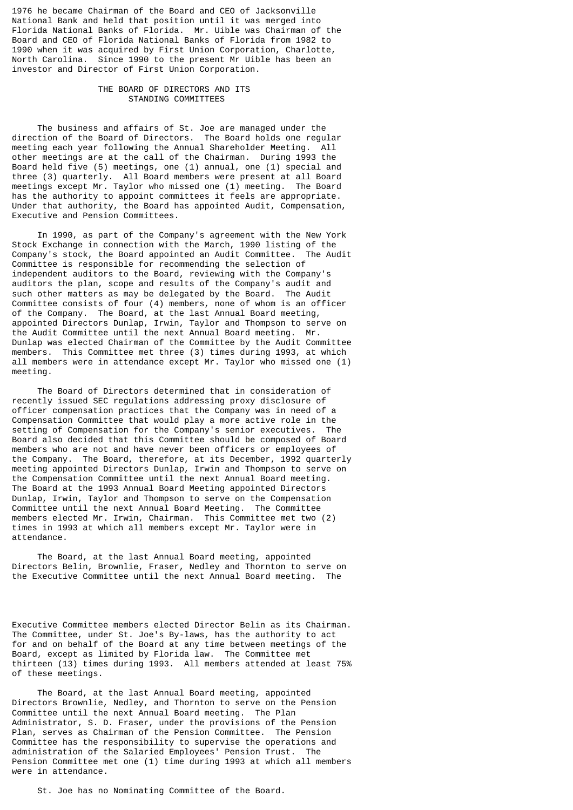1976 he became Chairman of the Board and CEO of Jacksonville National Bank and held that position until it was merged into Florida National Banks of Florida. Mr. Uible was Chairman of the Board and CEO of Florida National Banks of Florida from 1982 to 1990 when it was acquired by First Union Corporation, Charlotte, North Carolina. Since 1990 to the present Mr Uible has been an investor and Director of First Union Corporation.

# THE BOARD OF DIRECTORS AND ITS STANDING COMMITTEES

 The business and affairs of St. Joe are managed under the direction of the Board of Directors. The Board holds one regular meeting each year following the Annual Shareholder Meeting. All other meetings are at the call of the Chairman. During 1993 the Board held five (5) meetings, one (1) annual, one (1) special and three (3) quarterly. All Board members were present at all Board meetings except Mr. Taylor who missed one (1) meeting. The Board has the authority to appoint committees it feels are appropriate. Under that authority, the Board has appointed Audit, Compensation, Executive and Pension Committees.

 In 1990, as part of the Company's agreement with the New York Stock Exchange in connection with the March, 1990 listing of the Company's stock, the Board appointed an Audit Committee. The Audit Committee is responsible for recommending the selection of independent auditors to the Board, reviewing with the Company's auditors the plan, scope and results of the Company's audit and such other matters as may be delegated by the Board. The Audit Committee consists of four (4) members, none of whom is an officer of the Company. The Board, at the last Annual Board meeting, appointed Directors Dunlap, Irwin, Taylor and Thompson to serve on the Audit Committee until the next Annual Board meeting. Mr. Dunlap was elected Chairman of the Committee by the Audit Committee members. This Committee met three (3) times during 1993, at which all members were in attendance except Mr. Taylor who missed one (1) meeting.

 The Board of Directors determined that in consideration of recently issued SEC regulations addressing proxy disclosure of officer compensation practices that the Company was in need of a Compensation Committee that would play a more active role in the setting of Compensation for the Company's senior executives. The Board also decided that this Committee should be composed of Board members who are not and have never been officers or employees of the Company. The Board, therefore, at its December, 1992 quarterly meeting appointed Directors Dunlap, Irwin and Thompson to serve on the Compensation Committee until the next Annual Board meeting. The Board at the 1993 Annual Board Meeting appointed Directors Dunlap, Irwin, Taylor and Thompson to serve on the Compensation Committee until the next Annual Board Meeting. The Committee members elected Mr. Irwin, Chairman. This Committee met two (2) times in 1993 at which all members except Mr. Taylor were in attendance.

 The Board, at the last Annual Board meeting, appointed Directors Belin, Brownlie, Fraser, Nedley and Thornton to serve on the Executive Committee until the next Annual Board meeting. The

Executive Committee members elected Director Belin as its Chairman. The Committee, under St. Joe's By-laws, has the authority to act for and on behalf of the Board at any time between meetings of the Board, except as limited by Florida law. The Committee met thirteen (13) times during 1993. All members attended at least 75% of these meetings.

 The Board, at the last Annual Board meeting, appointed Directors Brownlie, Nedley, and Thornton to serve on the Pension Committee until the next Annual Board meeting. The Plan Administrator, S. D. Fraser, under the provisions of the Pension Plan, serves as Chairman of the Pension Committee. The Pension Committee has the responsibility to supervise the operations and administration of the Salaried Employees' Pension Trust. The Pension Committee met one (1) time during 1993 at which all members were in attendance.

St. Joe has no Nominating Committee of the Board.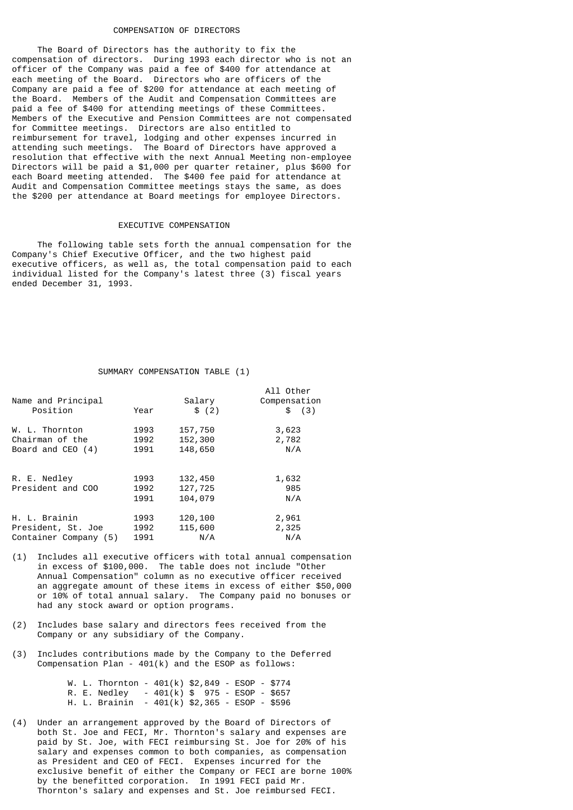### COMPENSATION OF DIRECTORS

 The Board of Directors has the authority to fix the compensation of directors. During 1993 each director who is not an officer of the Company was paid a fee of \$400 for attendance at each meeting of the Board. Directors who are officers of the Company are paid a fee of \$200 for attendance at each meeting of the Board. Members of the Audit and Compensation Committees are paid a fee of \$400 for attending meetings of these Committees. Members of the Executive and Pension Committees are not compensated for Committee meetings. Directors are also entitled to reimbursement for travel, lodging and other expenses incurred in attending such meetings. The Board of Directors have approved a resolution that effective with the next Annual Meeting non-employee Directors will be paid a \$1,000 per quarter retainer, plus \$600 for each Board meeting attended. The \$400 fee paid for attendance at Audit and Compensation Committee meetings stays the same, as does the \$200 per attendance at Board meetings for employee Directors.

### EXECUTIVE COMPENSATION

 The following table sets forth the annual compensation for the Company's Chief Executive Officer, and the two highest paid executive officers, as well as, the total compensation paid to each individual listed for the Company's latest three (3) fiscal years ended December 31, 1993.

### SUMMARY COMPENSATION TABLE (1)

| Name and Principal<br>Position    | Year                 | Salary<br>\$(2)               | All Other<br>Compensation<br>\$ (3) |
|-----------------------------------|----------------------|-------------------------------|-------------------------------------|
| W. L. Thornton                    | 1993                 | 157,750                       | 3,623                               |
| Chairman of the                   | 1992                 | 152,300                       | 2,782                               |
| Board and $CEO(4)$                | 1991                 | 148,650                       | N/A                                 |
| R. E. Nedley<br>President and COO | 1993<br>1992<br>1991 | 132,450<br>127,725<br>104,079 | 1,632<br>985<br>N/A                 |
| H. L. Brainin                     | 1993                 | 120,100                       | 2,961                               |
| President, St. Joe                | 1992                 | 115,600                       | 2,325                               |
| Container Company (5)             | 1991                 | N/A                           | N/A                                 |

- (1) Includes all executive officers with total annual compensation in excess of \$100,000. The table does not include "Other Annual Compensation" column as no executive officer received an aggregate amount of these items in excess of either \$50,000 or 10% of total annual salary. The Company paid no bonuses or had any stock award or option programs.
- (2) Includes base salary and directors fees received from the Company or any subsidiary of the Company.
- (3) Includes contributions made by the Company to the Deferred Compensation Plan - 401(k) and the ESOP as follows:

|  | W. L. Thornton - $401(k)$ \$2,849 - ESOP - \$774 |  |  |  |  |
|--|--------------------------------------------------|--|--|--|--|
|  | R. E. Nedley - $401(k)$ \$ 975 - ESOP - \$657    |  |  |  |  |
|  | H. L. Brainin - 401(k) \$2,365 - ESOP - \$596    |  |  |  |  |

(4) Under an arrangement approved by the Board of Directors of both St. Joe and FECI, Mr. Thornton's salary and expenses are paid by St. Joe, with FECI reimbursing St. Joe for 20% of his salary and expenses common to both companies, as compensation as President and CEO of FECI. Expenses incurred for the exclusive benefit of either the Company or FECI are borne 100% by the benefitted corporation. In 1991 FECI paid Mr. Thornton's salary and expenses and St. Joe reimbursed FECI.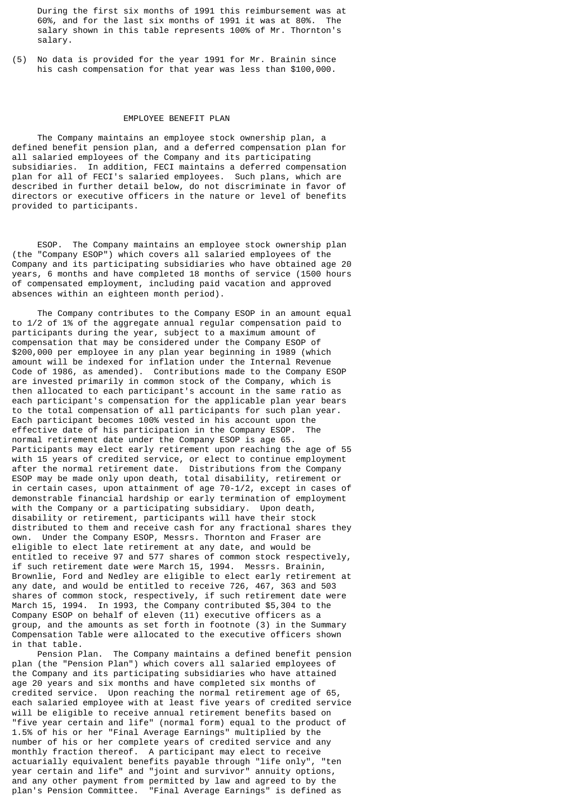During the first six months of 1991 this reimbursement was at 60%, and for the last six months of 1991 it was at 80%. The salary shown in this table represents 100% of Mr. Thornton's salary.

(5) No data is provided for the year 1991 for Mr. Brainin since his cash compensation for that year was less than \$100,000.

#### EMPLOYEE BENEFIT PLAN

 The Company maintains an employee stock ownership plan, a defined benefit pension plan, and a deferred compensation plan for all salaried employees of the Company and its participating subsidiaries. In addition, FECI maintains a deferred compensation plan for all of FECI's salaried employees. Such plans, which are described in further detail below, do not discriminate in favor of directors or executive officers in the nature or level of benefits provided to participants.

 ESOP. The Company maintains an employee stock ownership plan (the "Company ESOP") which covers all salaried employees of the Company and its participating subsidiaries who have obtained age 20 years, 6 months and have completed 18 months of service (1500 hours of compensated employment, including paid vacation and approved absences within an eighteen month period).

 The Company contributes to the Company ESOP in an amount equal to 1/2 of 1% of the aggregate annual regular compensation paid to participants during the year, subject to a maximum amount of compensation that may be considered under the Company ESOP of \$200,000 per employee in any plan year beginning in 1989 (which amount will be indexed for inflation under the Internal Revenue Code of 1986, as amended). Contributions made to the Company ESOP are invested primarily in common stock of the Company, which is then allocated to each participant's account in the same ratio as each participant's compensation for the applicable plan year bears to the total compensation of all participants for such plan year. Each participant becomes 100% vested in his account upon the effective date of his participation in the Company ESOP. The normal retirement date under the Company ESOP is age 65. Participants may elect early retirement upon reaching the age of 55 with 15 years of credited service, or elect to continue employment after the normal retirement date. Distributions from the Company ESOP may be made only upon death, total disability, retirement or in certain cases, upon attainment of age 70-1/2, except in cases of demonstrable financial hardship or early termination of employment with the Company or a participating subsidiary. Upon death, disability or retirement, participants will have their stock distributed to them and receive cash for any fractional shares they own. Under the Company ESOP, Messrs. Thornton and Fraser are eligible to elect late retirement at any date, and would be entitled to receive 97 and 577 shares of common stock respectively, if such retirement date were March 15, 1994. Messrs. Brainin, Brownlie, Ford and Nedley are eligible to elect early retirement at any date, and would be entitled to receive 726, 467, 363 and 503 shares of common stock, respectively, if such retirement date were March 15, 1994. In 1993, the Company contributed \$5,304 to the Company ESOP on behalf of eleven (11) executive officers as a group, and the amounts as set forth in footnote (3) in the Summary Compensation Table were allocated to the executive officers shown in that table.

 Pension Plan. The Company maintains a defined benefit pension plan (the "Pension Plan") which covers all salaried employees of the Company and its participating subsidiaries who have attained age 20 years and six months and have completed six months of credited service. Upon reaching the normal retirement age of 65, each salaried employee with at least five years of credited service will be eligible to receive annual retirement benefits based on "five year certain and life" (normal form) equal to the product of 1.5% of his or her "Final Average Earnings" multiplied by the number of his or her complete years of credited service and any monthly fraction thereof. A participant may elect to receive actuarially equivalent benefits payable through "life only", "ten year certain and life" and "joint and survivor" annuity options, and any other payment from permitted by law and agreed to by the plan's Pension Committee. "Final Average Earnings" is defined as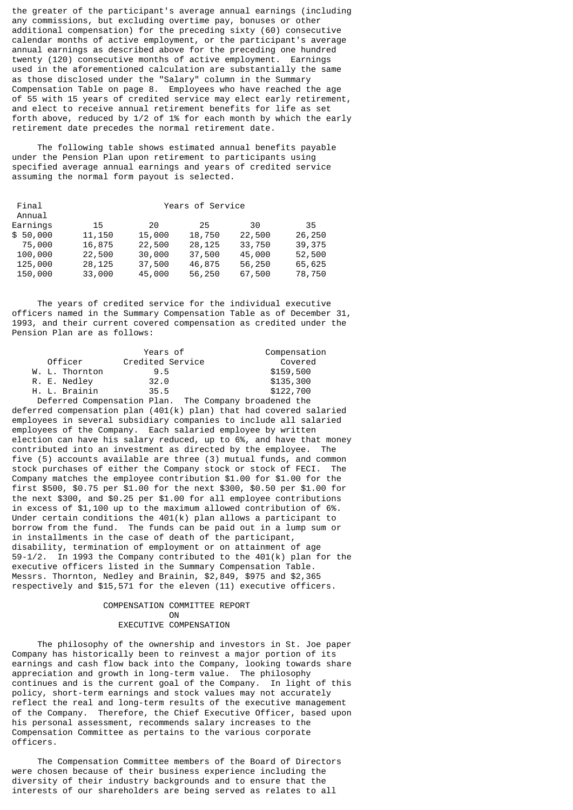the greater of the participant's average annual earnings (including any commissions, but excluding overtime pay, bonuses or other additional compensation) for the preceding sixty (60) consecutive calendar months of active employment, or the participant's average annual earnings as described above for the preceding one hundred twenty (120) consecutive months of active employment. Earnings used in the aforementioned calculation are substantially the same as those disclosed under the "Salary" column in the Summary Compensation Table on page 8. Employees who have reached the age of 55 with 15 years of credited service may elect early retirement, and elect to receive annual retirement benefits for life as set forth above, reduced by 1/2 of 1% for each month by which the early retirement date precedes the normal retirement date.

 The following table shows estimated annual benefits payable under the Pension Plan upon retirement to participants using specified average annual earnings and years of credited service assuming the normal form payout is selected.

|        | Years of Service |        |        |        |  |  |  |
|--------|------------------|--------|--------|--------|--|--|--|
|        |                  |        |        |        |  |  |  |
| 15     | 20               | 25     | 30     | 35     |  |  |  |
| 11,150 | 15,000           | 18,750 | 22,500 | 26,250 |  |  |  |
| 16,875 | 22,500           | 28,125 | 33,750 | 39,375 |  |  |  |
| 22,500 | 30,000           | 37,500 | 45,000 | 52,500 |  |  |  |
| 28,125 | 37,500           | 46,875 | 56,250 | 65,625 |  |  |  |
| 33,000 | 45,000           | 56,250 | 67,500 | 78,750 |  |  |  |
|        |                  |        |        |        |  |  |  |

 The years of credited service for the individual executive officers named in the Summary Compensation Table as of December 31, 1993, and their current covered compensation as credited under the Pension Plan are as follows:

|                | Years of         | Compensation |
|----------------|------------------|--------------|
| Officer        | Credited Service | Covered      |
| W. L. Thornton | 9.5              | \$159,500    |
| R. E. Nedley   | 32.0             | \$135,300    |
| H. L. Brainin  | 35.5             | \$122,700    |
|                |                  |              |

 Deferred Compensation Plan. The Company broadened the deferred compensation plan  $(401(k)$  plan) that had covered salaried employees in several subsidiary companies to include all salaried employees of the Company. Each salaried employee by written election can have his salary reduced, up to 6%, and have that money contributed into an investment as directed by the employee. The five (5) accounts available are three (3) mutual funds, and common stock purchases of either the Company stock or stock of FECI. The Company matches the employee contribution \$1.00 for \$1.00 for the first \$500, \$0.75 per \$1.00 for the next \$300, \$0.50 per \$1.00 for the next \$300, and \$0.25 per \$1.00 for all employee contributions in excess of \$1,100 up to the maximum allowed contribution of 6%. Under certain conditions the 401(k) plan allows a participant to borrow from the fund. The funds can be paid out in a lump sum or in installments in the case of death of the participant, disability, termination of employment or on attainment of age 59-1/2. In 1993 the Company contributed to the 401(k) plan for the executive officers listed in the Summary Compensation Table. Messrs. Thornton, Nedley and Brainin, \$2,849, \$975 and \$2,365 respectively and \$15,571 for the eleven (11) executive officers.

# COMPENSATION COMMITTEE REPORT **ON**

# EXECUTIVE COMPENSATION

 The philosophy of the ownership and investors in St. Joe paper Company has historically been to reinvest a major portion of its earnings and cash flow back into the Company, looking towards share appreciation and growth in long-term value. The philosophy continues and is the current goal of the Company. In light of this policy, short-term earnings and stock values may not accurately reflect the real and long-term results of the executive management of the Company. Therefore, the Chief Executive Officer, based upon his personal assessment, recommends salary increases to the Compensation Committee as pertains to the various corporate officers.

 The Compensation Committee members of the Board of Directors were chosen because of their business experience including the diversity of their industry backgrounds and to ensure that the interests of our shareholders are being served as relates to all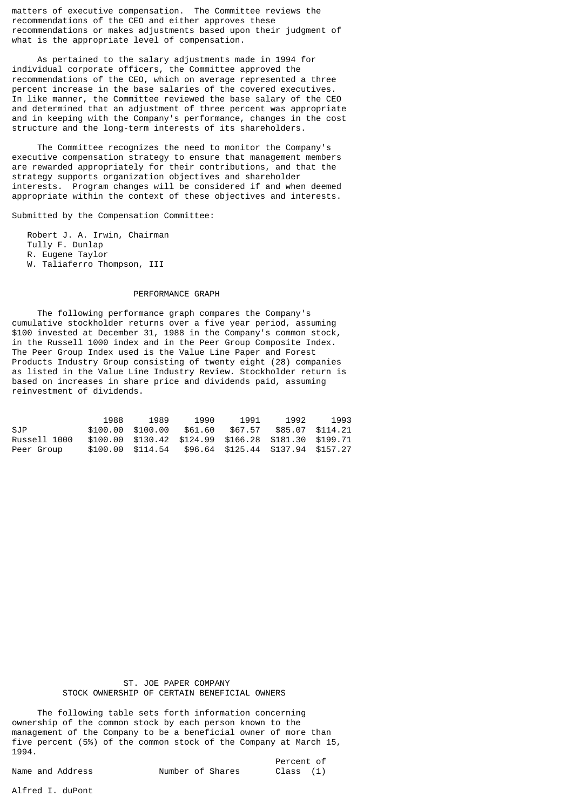matters of executive compensation. The Committee reviews the recommendations of the CEO and either approves these recommendations or makes adjustments based upon their judgment of what is the appropriate level of compensation.

 As pertained to the salary adjustments made in 1994 for individual corporate officers, the Committee approved the recommendations of the CEO, which on average represented a three percent increase in the base salaries of the covered executives. In like manner, the Committee reviewed the base salary of the CEO and determined that an adjustment of three percent was appropriate and in keeping with the Company's performance, changes in the cost structure and the long-term interests of its shareholders.

 The Committee recognizes the need to monitor the Company's executive compensation strategy to ensure that management members are rewarded appropriately for their contributions, and that the strategy supports organization objectives and shareholder interests. Program changes will be considered if and when deemed appropriate within the context of these objectives and interests.

Submitted by the Compensation Committee:

 Robert J. A. Irwin, Chairman Tully F. Dunlap R. Eugene Taylor W. Taliaferro Thompson, III

#### PERFORMANCE GRAPH

 The following performance graph compares the Company's cumulative stockholder returns over a five year period, assuming \$100 invested at December 31, 1988 in the Company's common stock, in the Russell 1000 index and in the Peer Group Composite Index. The Peer Group Index used is the Value Line Paper and Forest Products Industry Group consisting of twenty eight (28) companies as listed in the Value Line Industry Review. Stockholder return is based on increases in share price and dividends paid, assuming reinvestment of dividends.

|              | 1988 | 1989              | 1990    | 1991    | 1992                                                  | 1993 |
|--------------|------|-------------------|---------|---------|-------------------------------------------------------|------|
| SJP.         |      | \$100.00 \$100.00 | \$61.60 | \$67.57 | \$85.07 \$114.21                                      |      |
| Russell 1000 |      |                   |         |         | \$100.00 \$130.42 \$124.99 \$166.28 \$181.30 \$199.71 |      |
| Peer Group   |      |                   |         |         | \$100.00 \$114.54 \$96.64 \$125.44 \$137.94 \$157.27  |      |

 ST. JOE PAPER COMPANY STOCK OWNERSHIP OF CERTAIN BENEFICIAL OWNERS

 The following table sets forth information concerning ownership of the common stock by each person known to the management of the Company to be a beneficial owner of more than five percent (5%) of the common stock of the Company at March 15, 1994.

|                  |                  |  | Percent of |  |
|------------------|------------------|--|------------|--|
| Name and Address | Number of Shares |  | Class (1)  |  |

Alfred I. duPont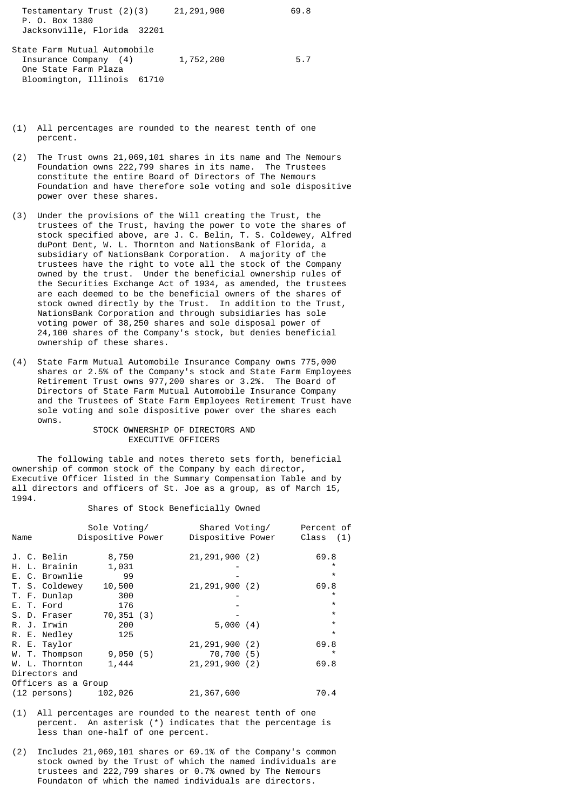| Testamentary Trust (2)(3)<br>P. O. Box 1380 | 21,291,900 | 69.8 |
|---------------------------------------------|------------|------|
| Jacksonville, Florida 32201                 |            |      |
| State Farm Mutual Automobile                |            |      |
| Insurance Company (4)                       | 1,752,200  | 5.7  |

One State Farm Plaza

Bloomington, Illinois 61710

- (1) All percentages are rounded to the nearest tenth of one percent.
- (2) The Trust owns 21,069,101 shares in its name and The Nemours Foundation owns 222,799 shares in its name. The Trustees constitute the entire Board of Directors of The Nemours Foundation and have therefore sole voting and sole dispositive power over these shares.
- (3) Under the provisions of the Will creating the Trust, the trustees of the Trust, having the power to vote the shares of stock specified above, are J. C. Belin, T. S. Coldewey, Alfred duPont Dent, W. L. Thornton and NationsBank of Florida, a subsidiary of NationsBank Corporation. A majority of the trustees have the right to vote all the stock of the Company owned by the trust. Under the beneficial ownership rules of the Securities Exchange Act of 1934, as amended, the trustees are each deemed to be the beneficial owners of the shares of stock owned directly by the Trust. In addition to the Trust, NationsBank Corporation and through subsidiaries has sole voting power of 38,250 shares and sole disposal power of 24,100 shares of the Company's stock, but denies beneficial ownership of these shares.
- (4) State Farm Mutual Automobile Insurance Company owns 775,000 shares or 2.5% of the Company's stock and State Farm Employees Retirement Trust owns 977,200 shares or 3.2%. The Board of Directors of State Farm Mutual Automobile Insurance Company and the Trustees of State Farm Employees Retirement Trust have sole voting and sole dispositive power over the shares each owns.

### STOCK OWNERSHIP OF DIRECTORS AND EXECUTIVE OFFICERS

 The following table and notes thereto sets forth, beneficial ownership of common stock of the Company by each director, Executive Officer listed in the Summary Compensation Table and by all directors and officers of St. Joe as a group, as of March 15, 1994.

#### Shares of Stock Beneficially Owned

|      |                     | Sole Voting/      | Shared Voting/    | Percent of  |
|------|---------------------|-------------------|-------------------|-------------|
| Name |                     | Dispositive Power | Dispositive Power | Class $(1)$ |
|      | J. C. Belin         | 8,750             | 21, 291, 900 (2)  | 69.8        |
|      | H. L. Brainin       | 1,031             |                   | $\star$     |
|      |                     |                   |                   | $\star$     |
|      | E. C. Brownlie      | 99                |                   |             |
|      | T. S. Coldewey      | 10,500            | 21, 291, 900 (2)  | 69.8        |
|      | T. F. Dunlap        | 300               |                   | $\star$     |
|      | E. T. Ford          | 176               |                   | $\star$     |
|      | S. D. Fraser        | 70,351(3)         |                   | $\star$     |
|      | R. J. Irwin         | 200               | 5,000(4)          | $\star$     |
|      | R. E. Nedley        | 125               |                   | $\star$     |
|      | R. E. Taylor        |                   | 21, 291, 900 (2)  | 69.8        |
|      | W. T. Thompson      | 9,050(5)          | 70,700 (5)        | $\star$     |
|      | W. L. Thornton      | 1,444             | 21, 291, 900 (2)  | 69.8        |
|      | Directors and       |                   |                   |             |
|      | Officers as a Group |                   |                   |             |
|      | (12 persons)        | 102,026           | 21, 367, 600      | 70.4        |

- (1) All percentages are rounded to the nearest tenth of one percent. An asterisk (\*) indicates that the percentage is less than one-half of one percent.
- (2) Includes 21,069,101 shares or 69.1% of the Company's common stock owned by the Trust of which the named individuals are trustees and 222,799 shares or 0.7% owned by The Nemours Foundaton of which the named individuals are directors.